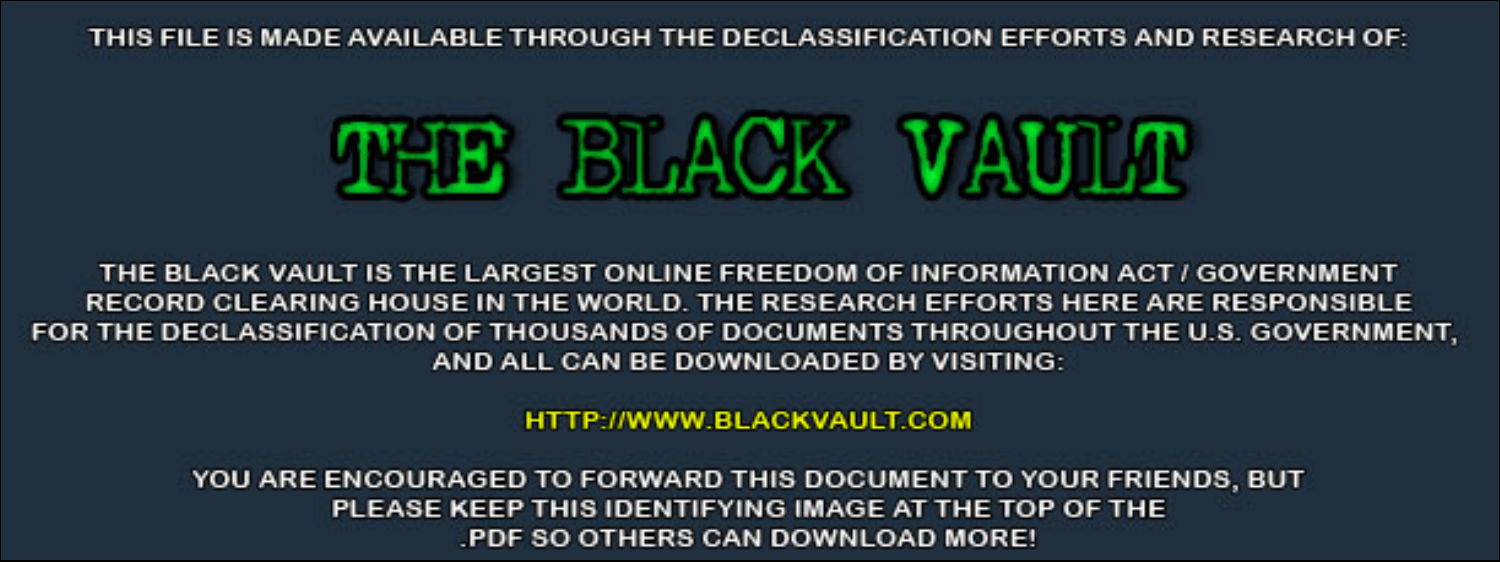THIS FILE IS MADE AVAILABLE THROUGH THE DECLASSIFICATION EFFORTS AND RESEARCH OF:



THE BLACK VAULT IS THE LARGEST ONLINE FREEDOM OF INFORMATION ACT / GOVERNMENT RECORD CLEARING HOUSE IN THE WORLD. THE RESEARCH EFFORTS HERE ARE RESPONSIBLE FOR THE DECLASSIFICATION OF THOUSANDS OF DOCUMENTS THROUGHOUT THE U.S. GOVERNMENT, AND ALL CAN BE DOWNLOADED BY VISITING:

**HTTP://WWW.BLACKVAULT.COM** 

YOU ARE ENCOURAGED TO FORWARD THIS DOCUMENT TO YOUR FRIENDS, BUT PLEASE KEEP THIS IDENTIFYING IMAGE AT THE TOP OF THE PDF SO OTHERS CAN DOWNLOAD MORE!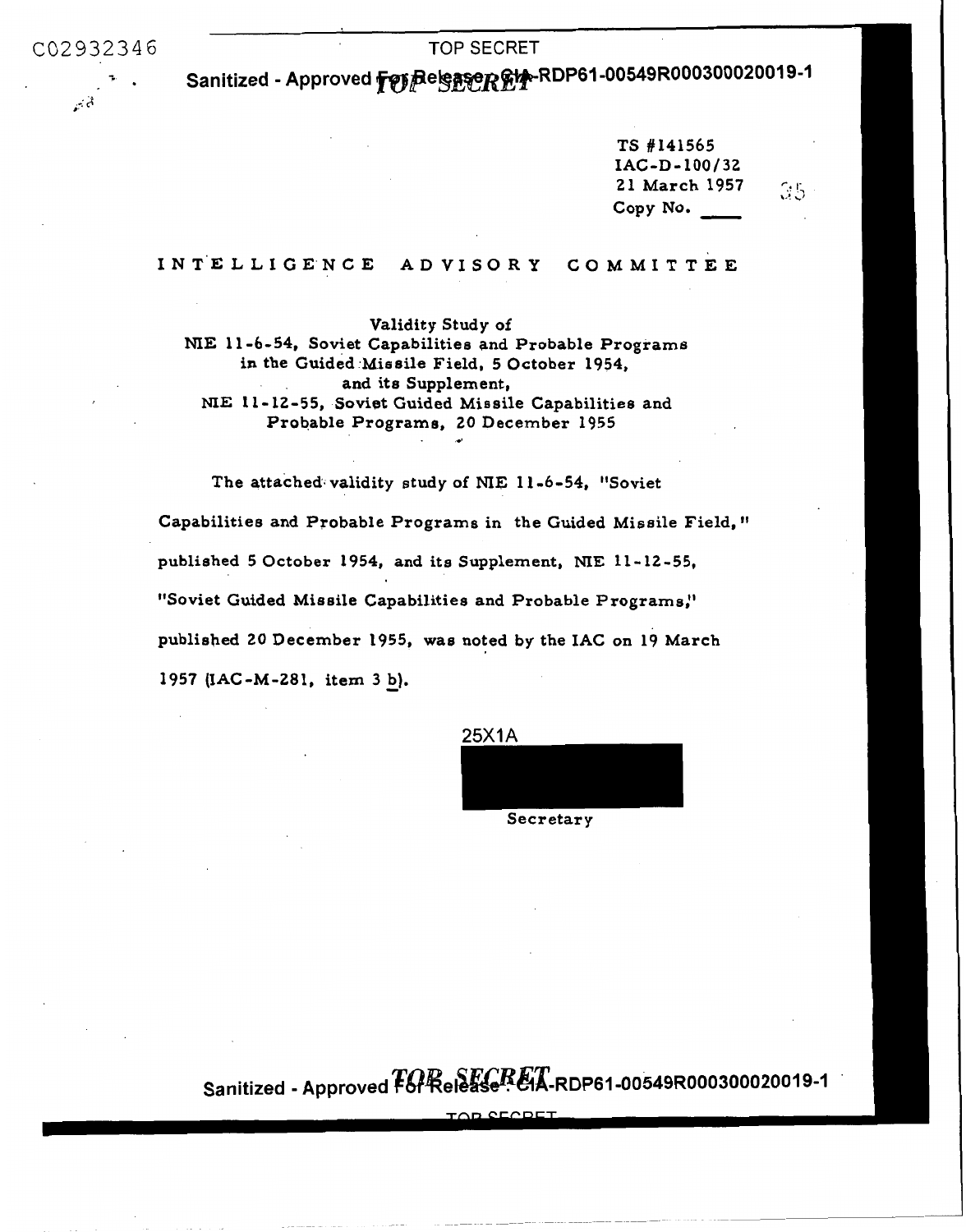C02932346 TOP SECRET

أتماس

Sanitized - Approved **#@}#el<u>e.\$</u>@RDP**-RDP61-00349R000300020010-1

TS **#141565 21** March **1957**  Copy **No.**  IAC **-D** - **1 00** / **<sup>32</sup>**  $\frac{65}{1957}$ 

**<sup>I</sup>N T'E L L** I G **E'N** c **E A D v I s** *o* **R Y** G o **M M I T T** E **E** 

Validity Study **of NIE 11 -6-54,** Soviet Capabilities and Probable Programs in the Guided Missile Field, **5** October **1954, NIE 11- 12-55,** Sovigt Guided Missile Capabilities and Probable Programs, **20** December **1955**  and its Supplement,

The attached. validity study **of NIE 11 -6-54,** "Soviet Capabilities and Probable Programs in the Guided Missile Field, published **5** October **1954,** and its Supplement, **NIE 11-12-55,**  "Soviet Guided Missile Capabilities and Probable Programs:' published **20** December **1955,** was noted by the IAC on **19** March **<sup>1957</sup>**(IAC-M-281, item **3** b). -

*d* 

25X1A

Secretary

 $Sanitized - Approved FGRe E G. FGR. EFA-RDP61-00549R000300020019-1$ 

**Tnr**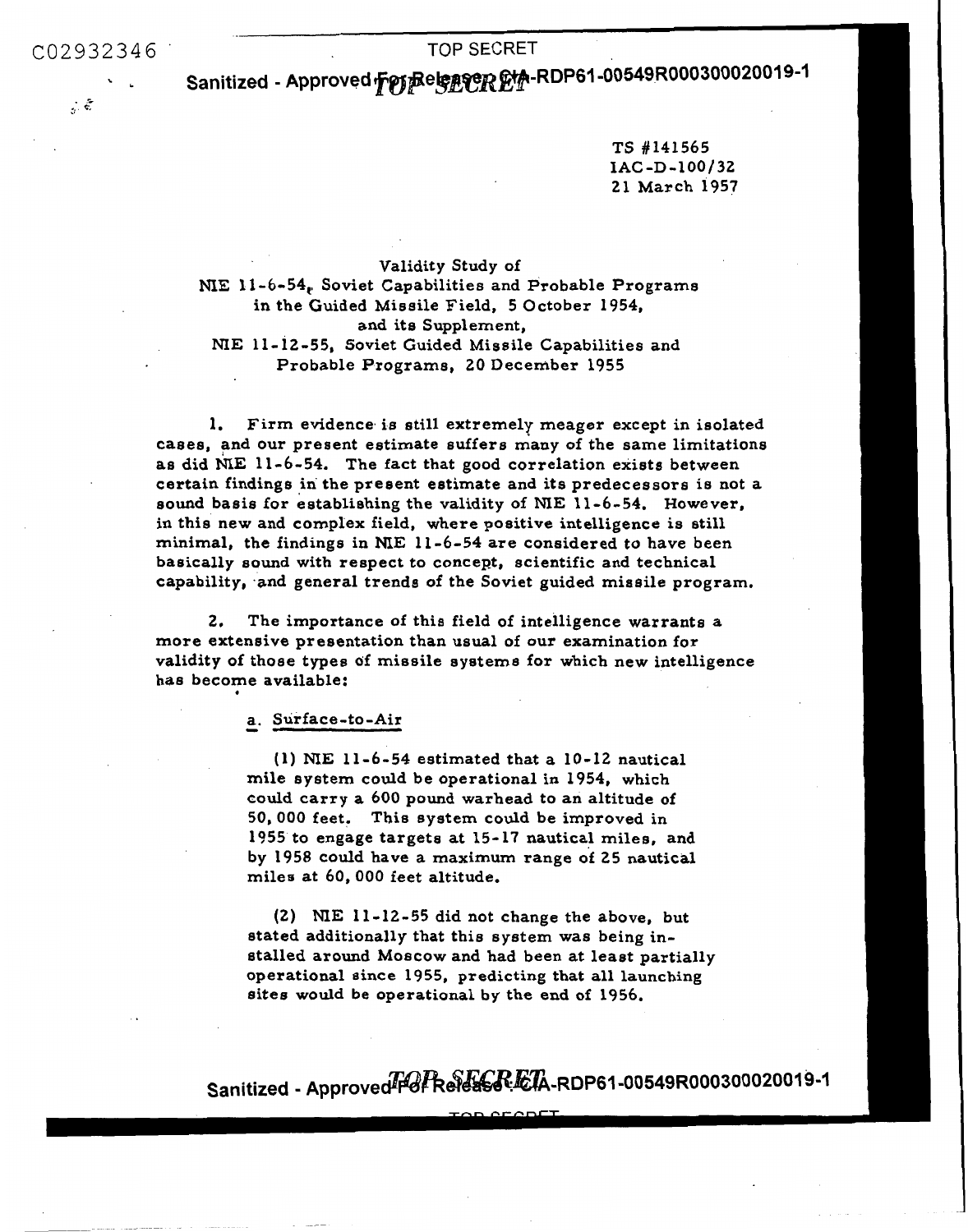*.5 e,* **t** 

**Sanitized** - **Approved ffr~pe&yp~~-RDP61 -00549R000300020019-1** 

**TS** #141565 21 March 1957 **SAC -D** - **100/ <sup>32</sup>**

Validity Study of **NXE** 11-6-54, Soviet Capabilities and Probable Programs in the Guided Missile Field, 5 October 1954, and its Supplement, **NIE** 11- 12-55, Soviet Guided Missile Capabilities and Probable Programs, **20** December 1955

**1.** Firm evidence, is still extremely meager except in isolated cases, and our present estimate suffers many of the same limitations as did NIE 11-6-54. The fact that good correlation exists between certain findings in the present estimate and its predecessors is not a **sound** basis for eatablishing the validity of **NIE** 11-6-54. However, in this new and complex field, where positive intelligence is still minimal, the findings in **ME 11** -6-54 are considered to have been basically sound with respect **to** concept, scientific and technical capability, and general trends of the Soviet guided missile program.

**2.** The importance **of** this field of intelligence warrants a more extensive presentation than usual of our examination for validity of those types of missile systems for which new intelligence **has** become available: .

### - **a.** Surface - to -Air

(1) **NIE** 11-6-54 estimated that a 10-12 nautical mile system could be operational in 1954, which could carry a 600 pound warhead to an altitude **of**  50,000 feet. This system could be improved in 1955 to engage targets at 15-17 nautical miles, and by 1958 could have a maximum range of 25 nautical miles at 60, *000* feet altitude.

**(2) NIE** 11-12-55 did not change the above, but stated additionally that this system **was** being installed around Moscow and had been at least partially operational eince 1955, predicting that all launching sites would be operational by the end **of 1956.** 

 $Sanitized - Approved F6F ReF6FR. ETA-RDP61-00549R000300020019-1$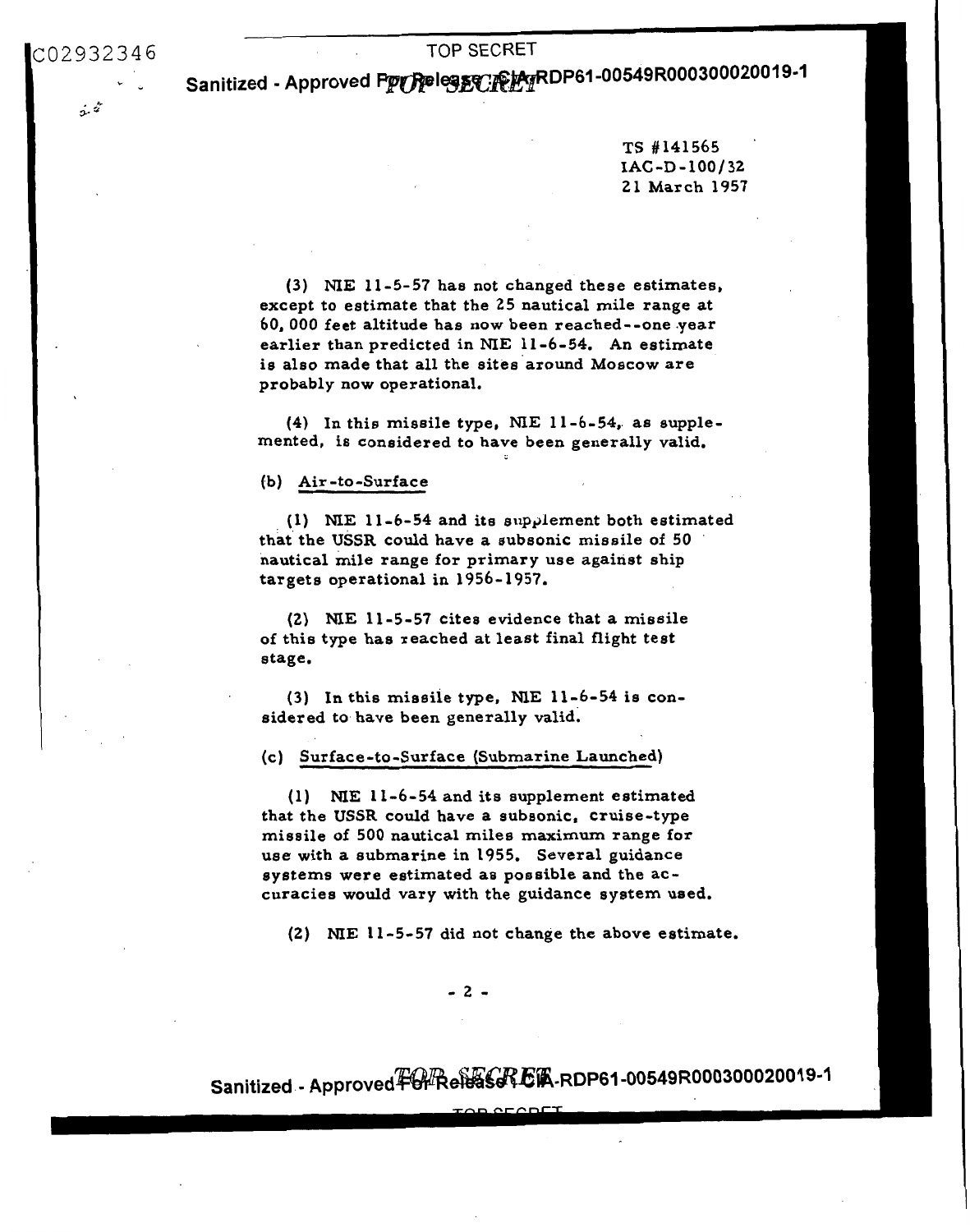$\dot{x}$ 

TOP SECRET<br>Sanitized - Approved Prenessen Perper Par DP61-00549R000300020019-1

TS #141565 ' 21 March 1957 **IAC -D** - **100** / 32

**(3) NIE** 11-5-57 has not changed these estimates, except to estimate that the 25 nautical mile range at *60,000* feet altitude has now been reached--one .year earlier than predicted in **NIE** 11-6-54. An estimate is also made that all the sites around Moscow are probably now operational,

(4) In this missile type, **NIE** 11-6-54,. as supplemented, is considered to have been generally valid.

## **(b)** Air -to-Surface

(1) NIE 11-6-54 and its supplement both estimated that the **USSR** could have a subsonic missile of 50 nautical mile range for primary use against ship targets operational in 1956-1957.

**(2)**  ME 11-5-57 cites evidence that a missile **of** this type has reached at least final flight test stage.

(3) In this missile type, **NE** 11-6-54 **is** considered to have been generally valid.

### (c) Surface-to-Surface (Submarine Launched)

(1) **ME** 11-6-54 and its supplement estimated that the **USSR** could have a subsonic, cruise-type missile of 500 nautical miles maximum range for use with a submarine in 1955. Several guidance systems were estimated as possible and the accuracies would vary with the guidance system used.

**(2) NIE** 11-5-57 did not change the above estimate.

*-L-*

Sanitized - Approved中#Re<del>N</del>aSACKE R-RDP61-00549R000300020019-1

 $CFCDFC$